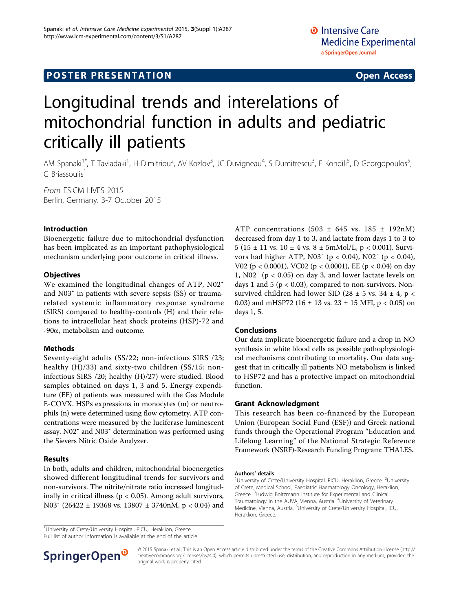# **POSTER PRESENTATION CONSUMING THE SERVICE SERVICE SERVICES**

# Longitudinal trends and interelations of mitochondrial function in adults and pediatric critically ill patients

AM Spanaki<sup>1\*</sup>, T Tavladaki<sup>1</sup>, H Dimitriou<sup>2</sup>, AV Kozlov<sup>3</sup>, JC Duvigneau<sup>4</sup>, S Dumitrescu<sup>3</sup>, E Kondili<sup>5</sup>, D Georgopoulos<sup>5</sup> , G Briassoulis<sup>1</sup>

From ESICM LIVES 2015 Berlin, Germany. 3-7 October 2015

### Introduction

Bioenergetic failure due to mitochondrial dysfunction has been implicated as an important pathophysiological mechanism underlying poor outcome in critical illness.

#### **Objectives**

We examined the longitudinal changes of ATP, N02<sup>-</sup> and N03¯ in patients with severe sepsis (SS) or traumarelated systemic inflammatory response syndrome (SIRS) compared to healthy-controls (H) and their relations to intracellular heat shock proteins (HSP)-72 and  $-90\alpha$ , metabolism and outcome.

#### Methods

Seventy-eight adults (SS/22; non-infectious SIRS /23; healthy (H)/33) and sixty-two children (SS/15; noninfectious SIRS /20; healthy (H)/27) were studied. Blood samples obtained on days 1, 3 and 5. Energy expenditure (EE) of patients was measured with the Gas Module E-COVX. HSPs expressions in monocytes (m) or neutrophils (n) were determined using flow cytometry. ATP concentrations were measured by the luciferase luminescent assay. N02¯ and N03¯ determination was performed using the Sievers Nitric Oxide Analyzer.

#### Results

In both, adults and children, mitochondrial bioenergetics showed different longitudinal trends for survivors and non-survivors. The nitrite/nitrate ratio increased longitudinally in critical illness ( $p < 0.05$ ). Among adult survivors, N03¯ (26422 ± 19368 vs. 13807 ± 3740nM, p < 0.04) and ATP concentrations (503  $\pm$  645 vs. 185  $\pm$  192nM) decreased from day 1 to 3, and lactate from days 1 to 3 to 5 (15 ± 11 vs.  $10 \pm 4$  vs.  $8 \pm 5$ mMol/L, p < 0.001). Survivors had higher ATP, N03<sup> $-$ </sup> (p < 0.04), N02<sup> $-$ </sup> (p < 0.04), V02 (p < 0.0001), VC02 (p < 0.0001), EE (p < 0.04) on day 1,  $N02<sup>-</sup>$  (p < 0.05) on day 3, and lower lactate levels on days 1 and 5 ( $p < 0.03$ ), compared to non-survivors. Nonsurvived children had lower SID (28  $\pm$  5 vs. 34  $\pm$  4, p < 0.03) and mHSP72 (16  $\pm$  13 vs. 23  $\pm$  15 MFI, p < 0.05) on days 1, 5.

## Conclusions

Our data implicate bioenergetic failure and a drop in NO synthesis in white blood cells as possible pathophysiological mechanisms contributing to mortality. Our data suggest that in critically ill patients NO metabolism is linked to HSP72 and has a protective impact on mitochondrial function.

#### Grant Acknowledgment

This research has been co-financed by the European Union (European Social Fund (ESF)) and Greek national funds through the Operational Program "Education and Lifelong Learning" of the National Strategic Reference Framework (NSRF)-Research Funding Program: THALES.

#### Authors' details <sup>1</sup>

University of Crete/University Hospital, PICU, Heraklion, Greece. <sup>2</sup>University of Crete, Medical School, Paediatric Haematology Oncology, Heraklion, Greece. <sup>3</sup> Ludwig Boltzmann Institute for Experimental and Clinical Traumatology in the AUVA, Vienna, Austria. <sup>4</sup>University of Veterinary Medicine, Vienna, Austria. <sup>5</sup>University of Crete/University Hospital, ICU, Heraklion, Greece.

<sup>1</sup>University of Crete/University Hospital, PICU, Heraklion, Greece

Full list of author information is available at the end of the article



© 2015 Spanaki et al.; This is an Open Access article distributed under the terms of the Creative Commons Attribution License [\(http://](http://creativecommons.org/licenses/by/4.0) [creativecommons.org/licenses/by/4.0](http://creativecommons.org/licenses/by/4.0)), which permits unrestricted use, distribution, and reproduction in any medium, provided the original work is properly cited.